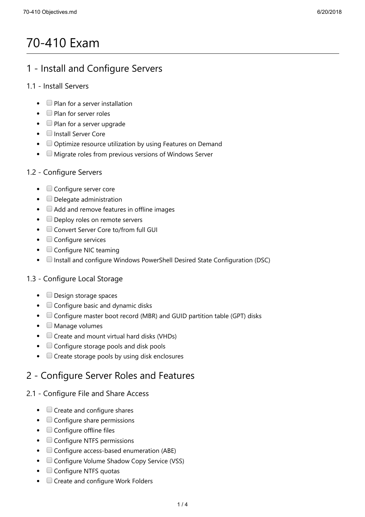# 70-410 Exam

## 1 - Install and Configure Servers

#### 1.1 - Install Servers

- $\bullet$   $\Box$  Plan for a server installation
- $\bullet$   $\Box$  Plan for server roles
- $\bullet$   $\Box$  Plan for a server upgrade
- **Install Server Core**
- Optimize resource utilization by using Features on Demand
- $\bullet$   $\Box$  Migrate roles from previous versions of Windows Server

#### 1.2 - Configure Servers

- $\bullet$   $\Box$  Configure server core
- $\bullet$   $\Box$  Delegate administration
- $\bullet$   $\Box$  Add and remove features in offline images
- Deploy roles on remote servers
- Convert Server Core to/from full GUI
- $\bullet$   $\Box$  Configure services
- $\bullet$   $\Box$  Configure NIC teaming
- $\Box$  Install and configure Windows PowerShell Desired State Configuration (DSC)

#### 1.3 - Configure Local Storage

- Design storage spaces
- $\bullet$   $\Box$  Configure basic and dynamic disks
- Configure master boot record (MBR) and GUID partition table (GPT) disks
- $\bullet$   $\Box$  Manage volumes
- $\bullet$   $\Box$  Create and mount virtual hard disks (VHDs)
- Configure storage pools and disk pools
- $\bullet$   $\Box$  Create storage pools by using disk enclosures

# 2 - Configure Server Roles and Features

#### 2.1 - Configure File and Share Access

- $\bullet$   $\Box$  Create and configure shares
- $\bullet$   $\Box$  Configure share permissions
- $\bullet$   $\Box$  Configure offline files
- Configure NTFS permissions
- Configure access-based enumeration (ABE)
- $\bullet$   $\Box$  Configure Volume Shadow Copy Service (VSS)
- $\bullet$   $\Box$  Configure NTFS quotas
- $\bullet$   $\Box$  Create and configure Work Folders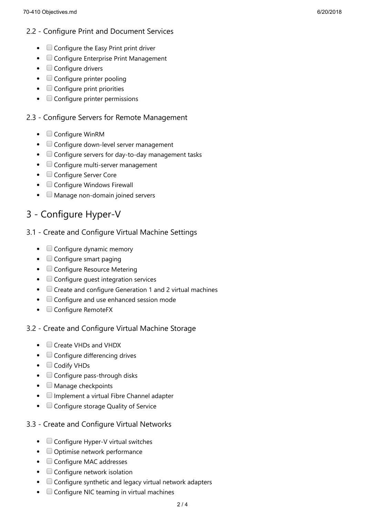#### 2.2 - Configure Print and Document Services

- $\bullet$   $\Box$  Configure the Easy Print print driver
- Configure Enterprise Print Management
- $\bullet$   $\Box$  Configure drivers
- $\bullet$   $\Box$  Configure printer pooling
- $\bullet$   $\Box$  Configure print priorities
- $\bullet$   $\Box$  Configure printer permissions

#### 2.3 - Configure Servers for Remote Management

- $\bullet$   $\Box$  Configure WinRM
- Configure down-level server management
- $\bullet$   $\Box$  Configure servers for day-to-day management tasks
- Configure multi-server management
- Configure Server Core
- $\bullet$   $\Box$  Configure Windows Firewall
- $\bullet$ Manage non-domain joined servers

## 3 - Configure Hyper-V

#### 3.1 - Create and Configure Virtual Machine Settings

- $\bullet$   $\Box$  Configure dynamic memory
- $\bullet$   $\Box$  Configure smart paging
- $\bullet$   $\Box$  Configure Resource Metering
- $\bullet$   $\Box$  Configure guest integration services
- Create and configure Generation 1 and 2 virtual machines
- $\bullet$   $\Box$  Configure and use enhanced session mode
- $\bullet$   $\Box$  Configure RemoteFX

#### 3.2 - Create and Configure Virtual Machine Storage

- Create VHDs and VHDX
- $\bullet$   $\Box$  Configure differencing drives
- Codify VHDs
- $\bullet$   $\Box$  Configure pass-through disks
- $\bullet$   $\Box$  Manage checkpoints
- $\bullet$   $\Box$  Implement a virtual Fibre Channel adapter
- $\bullet$   $\Box$  Configure storage Quality of Service

#### 3.3 - Create and Configure Virtual Networks

- $\bullet$   $\Box$  Configure Hyper-V virtual switches
- Optimise network performance
- Configure MAC addresses
- $\bullet$   $\Box$  Configure network isolation
- $\bullet$   $\Box$  Configure synthetic and legacy virtual network adapters
- $\Box$  Configure NIC teaming in virtual machines  $\bullet$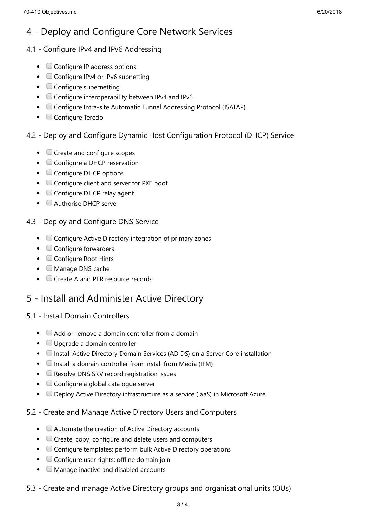#### 4.1 - Configure IPv4 and IPv6 Addressing

- $\bullet$   $\Box$  Configure IP address options
- $\bullet$   $\Box$  Configure IPv4 or IPv6 subnetting
- $\bullet$   $\Box$  Configure supernetting
- $\bullet$   $\Box$  Configure interoperability between IPv4 and IPv6
- Configure Intra-site Automatic Tunnel Addressing Protocol (ISATAP)
- Configure Teredo

#### 4.2 - Deploy and Configure Dynamic Host Configuration Protocol (DHCP) Service

- $\bullet$   $\Box$  Create and configure scopes
- $\bullet$   $\Box$  Configure a DHCP reservation
- $\bullet$   $\Box$  Configure DHCP options
- $\bullet$   $\Box$  Configure client and server for PXE boot
- Configure DHCP relay agent
- $\bullet$   $\Box$  Authorise DHCP server

#### 4.3 - Deploy and Configure DNS Service

- $\bullet$   $\Box$  Configure Active Directory integration of primary zones
- $\bullet$   $\Box$  Configure forwarders
- Configure Root Hints
- $\bullet$   $\Box$  Manage DNS cache
- Create A and PTR resource records

### 5 - Install and Administer Active Directory

#### 5.1 - Install Domain Controllers

- $\bullet$   $\Box$  Add or remove a domain controller from a domain
- $\bullet$   $\Box$  Upgrade a domain controller
- **I.** Install Active Directory Domain Services (AD DS) on a Server Core installation
- $\bullet$   $\Box$  Install a domain controller from Install from Media (IFM)
- $\bullet$   $\Box$  Resolve DNS SRV record registration issues
- $\bullet$   $\Box$  Configure a global catalogue server
- Deploy Active Directory infrastructure as a service (IaaS) in Microsoft Azure

#### 5.2 - Create and Manage Active Directory Users and Computers

- $\bullet$   $\Box$  Automate the creation of Active Directory accounts
- $\bullet$   $\Box$  Create, copy, configure and delete users and computers
- Configure templates; perform bulk Active Directory operations
- $\bullet$   $\Box$  Configure user rights; offline domain join
- $\Box$  Manage inactive and disabled accounts
- 5.3 Create and manage Active Directory groups and organisational units (OUs)